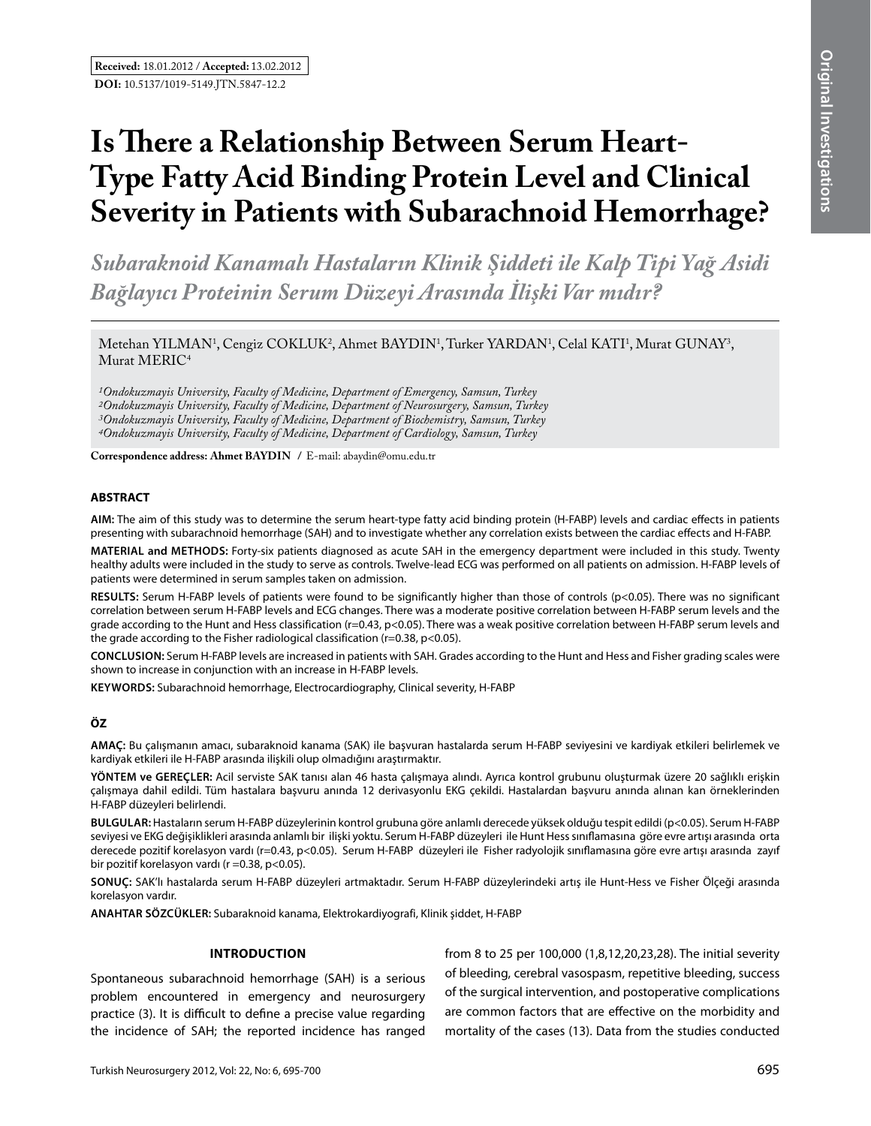# **Is There a Relationship Between Serum Heart-Type Fatty Acid Binding Protein Level and Clinical Severity in Patients with Subarachnoid Hemorrhage?**

*Subaraknoid Kanamalı Hastaların Klinik Şiddeti ile Kalp Tipi Yağ Asidi Bağlayıcı Proteinin Serum Düzeyi Arasında İlişki Var mıdır?* 

Metehan YILMAN<sup>1</sup>, Cengiz COKLUK<sup>2</sup>, Ahmet BAYDIN<sup>1</sup>, Turker YARDAN<sup>1</sup>, Celal KATI<sup>1</sup>, Murat GUNAY<sup>3</sup>, Murat MERIC<sup>4</sup>

*1Ondokuzmayis University, Faculty of Medicine, Department of Emergency, Samsun, Turkey 2Ondokuzmayis University, Faculty of Medicine, Department of Neurosurgery, Samsun, Turkey 3Ondokuzmayis University, Faculty of Medicine, Department of Biochemistry, Samsun, Turkey 4Ondokuzmayis University, Faculty of Medicine, Department of Cardiology, Samsun, Turkey*

**Correspondence address: Ahmet Baydın /** E-mail: abaydin@omu.edu.tr

#### **ABSTRACT**

**AIm:** The aim of this study was to determine the serum heart-type fatty acid binding protein (H-FABP) levels and cardiac effects in patients presenting with subarachnoid hemorrhage (SAH) and to investigate whether any correlation exists between the cardiac effects and H-FABP.

**MaterIal and Methods:** Forty-six patients diagnosed as acute SAH in the emergency department were included in this study. Twenty healthy adults were included in the study to serve as controls. Twelve-lead ECG was performed on all patients on admission. H-FABP levels of patients were determined in serum samples taken on admission.

**Results:** Serum H-FABP levels of patients were found to be significantly higher than those of controls (p<0.05). There was no significant correlation between serum H-FABP levels and ECG changes. There was a moderate positive correlation between H-FABP serum levels and the grade according to the Hunt and Hess classification (r=0.43, p<0.05). There was a weak positive correlation between H-FABP serum levels and the grade according to the Fisher radiological classification ( $r=0.38$ ,  $p<0.05$ ).

**ConclusIon:** Serum H-FABP levels are increased in patients with SAH. Grades according to the Hunt and Hess and Fisher grading scales were shown to increase in conjunction with an increase in H-FABP levels.

**Keywords:** Subarachnoid hemorrhage, Electrocardiography, Clinical severity, H-FABP

## **ÖZ**

**AMAÇ:** Bu çalışmanın amacı, subaraknoid kanama (SAK) ile başvuran hastalarda serum H-FABP seviyesini ve kardiyak etkileri belirlemek ve kardiyak etkileri ile H-FABP arasında ilişkili olup olmadığını araştırmaktır.

**YÖNTEM ve GEREÇLER:** Acil serviste SAK tanısı alan 46 hasta çalışmaya alındı. Ayrıca kontrol grubunu oluşturmak üzere 20 sağlıklı erişkin çalışmaya dahil edildi. Tüm hastalara başvuru anında 12 derivasyonlu EKG çekildi. Hastalardan başvuru anında alınan kan örneklerinden H-FABP düzeyleri belirlendi.

**BULGULAR:** Hastaların serum H-FABP düzeylerinin kontrol grubuna göre anlamlı derecede yüksek olduğu tespit edildi (p<0.05). Serum H-FABP seviyesi ve EKG değişiklikleri arasında anlamlı bir ilişki yoktu. Serum H-FABP düzeyleri ile Hunt Hess sınıflamasına göre evre artışı arasında orta derecede pozitif korelasyon vardı (r=0.43, p<0.05). Serum H-FABP düzeyleri ile Fisher radyolojik sınıflamasına göre evre artışı arasında zayıf bir pozitif korelasyon vardı (r = 0.38, p < 0.05).

**SONUÇ:** SAK'lı hastalarda serum H-FABP düzeyleri artmaktadır. Serum H-FABP düzeylerindeki artış ile Hunt-Hess ve Fisher Ölçeği arasında korelasyon vardır.

**ANAHTAR SÖZCÜKLER:** Subaraknoid kanama, Elektrokardiyografi, Klinik şiddet, H-FABP

#### **Introduction**

Spontaneous subarachnoid hemorrhage (SAH) is a serious problem encountered in emergency and neurosurgery practice (3). It is difficult to define a precise value regarding the incidence of SAH; the reported incidence has ranged from 8 to 25 per 100,000 (1,8,12,20,23,28). The initial severity of bleeding, cerebral vasospasm, repetitive bleeding, success of the surgical intervention, and postoperative complications are common factors that are effective on the morbidity and mortality of the cases (13). Data from the studies conducted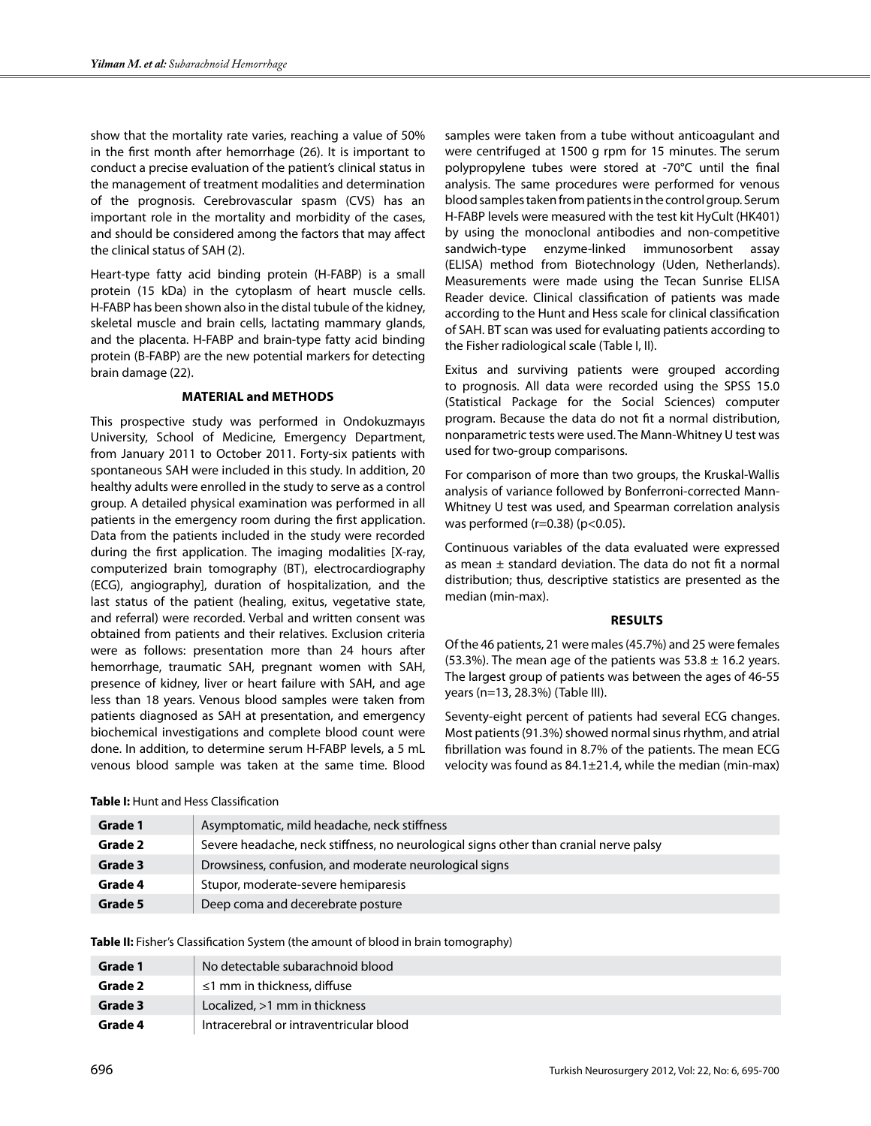show that the mortality rate varies, reaching a value of 50% in the first month after hemorrhage (26). It is important to conduct a precise evaluation of the patient's clinical status in the management of treatment modalities and determination of the prognosis. Cerebrovascular spasm (CVS) has an important role in the mortality and morbidity of the cases, and should be considered among the factors that may affect the clinical status of SAH (2).

Heart-type fatty acid binding protein (H-FABP) is a small protein (15 kDa) in the cytoplasm of heart muscle cells. H-FABP has been shown also in the distal tubule of the kidney, skeletal muscle and brain cells, lactating mammary glands, and the placenta. H-FABP and brain-type fatty acid binding protein (B-FABP) are the new potential markers for detecting brain damage (22).

## **Material and methods**

This prospective study was performed in Ondokuzmayıs University, School of Medicine, Emergency Department, from January 2011 to October 2011. Forty-six patients with spontaneous SAH were included in this study. In addition, 20 healthy adults were enrolled in the study to serve as a control group. A detailed physical examination was performed in all patients in the emergency room during the first application. Data from the patients included in the study were recorded during the first application. The imaging modalities [X-ray, computerized brain tomography (BT), electrocardiography (ECG), angiography], duration of hospitalization, and the last status of the patient (healing, exitus, vegetative state, and referral) were recorded. Verbal and written consent was obtained from patients and their relatives. Exclusion criteria were as follows: presentation more than 24 hours after hemorrhage, traumatic SAH, pregnant women with SAH, presence of kidney, liver or heart failure with SAH, and age less than 18 years. Venous blood samples were taken from patients diagnosed as SAH at presentation, and emergency biochemical investigations and complete blood count were done. In addition, to determine serum H-FABP levels, a 5 mL venous blood sample was taken at the same time. Blood

samples were taken from a tube without anticoagulant and were centrifuged at 1500 g rpm for 15 minutes. The serum polypropylene tubes were stored at -70°C until the final analysis. The same procedures were performed for venous blood samples taken from patients in the control group. Serum H-FABP levels were measured with the test kit HyCult (HK401) by using the monoclonal antibodies and non-competitive sandwich-type enzyme-linked immunosorbent assay (ELISA) method from Biotechnology (Uden, Netherlands). Measurements were made using the Tecan Sunrise ELISA Reader device. Clinical classification of patients was made according to the Hunt and Hess scale for clinical classification of SAH. BT scan was used for evaluating patients according to the Fisher radiological scale (Table I, II).

Exitus and surviving patients were grouped according to prognosis. All data were recorded using the SPSS 15.0 (Statistical Package for the Social Sciences) computer program. Because the data do not fit a normal distribution, nonparametric tests were used. The Mann-Whitney U test was used for two-group comparisons.

For comparison of more than two groups, the Kruskal-Wallis analysis of variance followed by Bonferroni-corrected Mann-Whitney U test was used, and Spearman correlation analysis was performed ( $r=0.38$ ) ( $p<0.05$ ).

Continuous variables of the data evaluated were expressed as mean  $\pm$  standard deviation. The data do not fit a normal distribution; thus, descriptive statistics are presented as the median (min-max).

#### **Results**

Of the 46 patients, 21 were males (45.7%) and 25 were females (53.3%). The mean age of the patients was  $53.8 \pm 16.2$  years. The largest group of patients was between the ages of 46-55 years (n=13, 28.3%) (Table III).

Seventy-eight percent of patients had several ECG changes. Most patients (91.3%) showed normal sinus rhythm, and atrial fibrillation was found in 8.7% of the patients. The mean ECG velocity was found as 84.1±21.4, while the median (min-max)

| Grade 1 | Asymptomatic, mild headache, neck stiffness                                           |
|---------|---------------------------------------------------------------------------------------|
| Grade 2 | Severe headache, neck stiffness, no neurological signs other than cranial nerve palsy |
| Grade 3 | Drowsiness, confusion, and moderate neurological signs                                |
| Grade 4 | Stupor, moderate-severe hemiparesis                                                   |
| Grade 5 | Deep coma and decerebrate posture                                                     |

**Table I:** Hunt and Hess Classification

**Table II:** Fisher's Classification System (the amount of blood in brain tomography)

| Grade 1 | No detectable subarachnoid blood        |
|---------|-----------------------------------------|
| Grade 2 | $\leq$ 1 mm in thickness, diffuse       |
| Grade 3 | Localized, >1 mm in thickness           |
| Grade 4 | Intracerebral or intraventricular blood |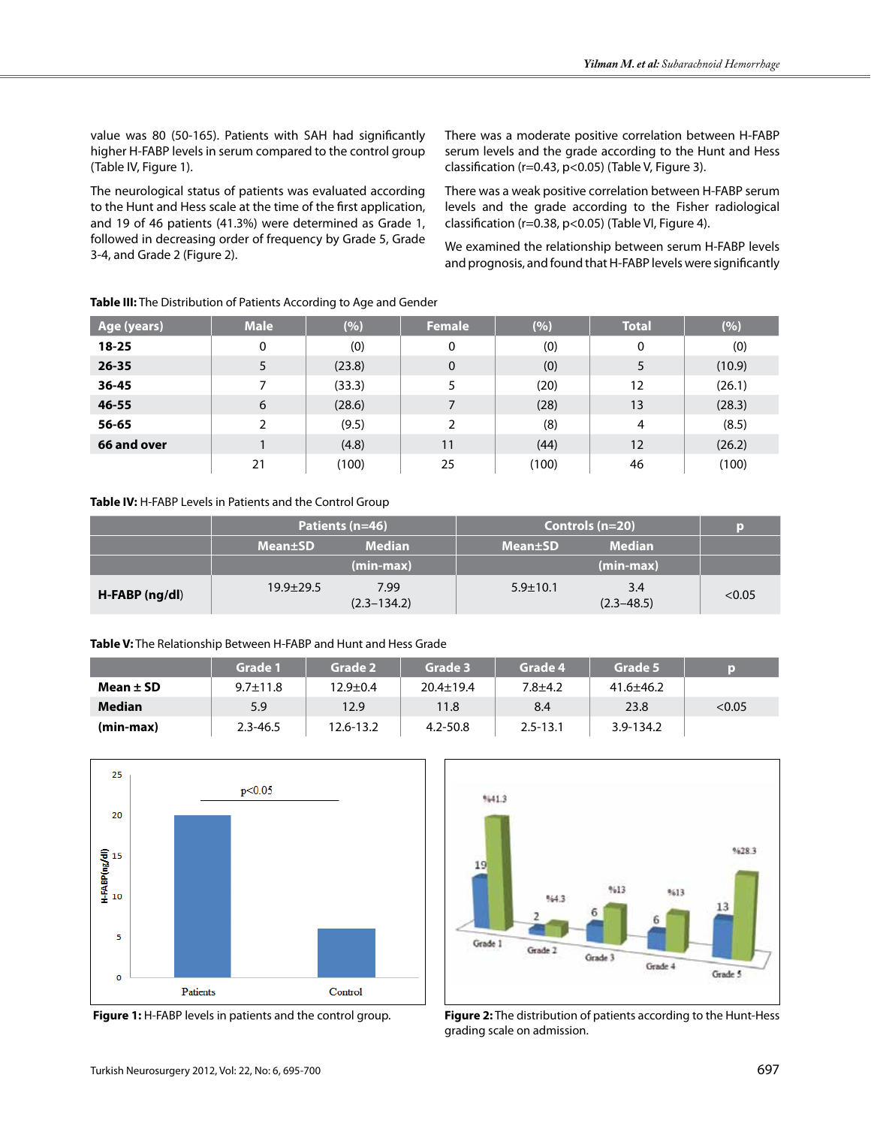value was 80 (50-165). Patients with SAH had significantly higher H-FABP levels in serum compared to the control group (Table IV, Figure 1).

The neurological status of patients was evaluated according to the Hunt and Hess scale at the time of the first application, and 19 of 46 patients (41.3%) were determined as Grade 1, followed in decreasing order of frequency by Grade 5, Grade 3-4, and Grade 2 (Figure 2).

There was a moderate positive correlation between H-FABP serum levels and the grade according to the Hunt and Hess classification (r=0.43, p<0.05) (Table V, Figure 3).

There was a weak positive correlation between H-FABP serum levels and the grade according to the Fisher radiological classification (r=0.38, p<0.05) (Table VI, Figure 4).

We examined the relationship between serum H-FABP levels and prognosis, and found that H-FABP levels were significantly

| Age (years) | <b>Male</b> | (%)    | <b>Female</b> | (%)   | <b>Total</b> | (%)    |
|-------------|-------------|--------|---------------|-------|--------------|--------|
| $18 - 25$   | 0           | (0)    | 0             | (0)   | 0            | (0)    |
| $26 - 35$   | 5           | (23.8) | 0             | (0)   | 5            | (10.9) |
| 36-45       |             | (33.3) |               | (20)  | 12           | (26.1) |
| $46 - 55$   | 6           | (28.6) |               | (28)  | 13           | (28.3) |
| 56-65       | 2           | (9.5)  | 2             | (8)   | 4            | (8.5)  |
| 66 and over |             | (4.8)  | 11            | (44)  | 12           | (26.2) |
|             | 21          | (100)  | 25            | (100) | 46           | (100)  |

## **Table III:** The Distribution of Patients According to Age and Gender

## **Table IV:** H-FABP Levels in Patients and the Control Group

|                |                 | Patients (n=46)         | Controls $(n=20)$           | ю                     |        |
|----------------|-----------------|-------------------------|-----------------------------|-----------------------|--------|
|                | <b>Mean</b> ±SD | <b>Median</b>           | <b>Mean</b> <sup>t</sup> SD | <b>Median</b>         |        |
|                |                 | $(min-max)$             |                             | $(min-max)$           |        |
| H-FABP (ng/dl) | $19.9 \pm 29.5$ | 7.99<br>$(2.3 - 134.2)$ | $5.9 \pm 10.1$              | 3.4<br>$(2.3 - 48.5)$ | < 0.05 |

#### **Table V:** The Relationship Between H-FABP and Hunt and Hess Grade

|               | Grade 1        | Grade 2   | Grade 3         | Grade 4      | Grade 5         | D      |
|---------------|----------------|-----------|-----------------|--------------|-----------------|--------|
| Mean $\pm$ SD | $9.7 \pm 11.8$ | 12.9±0.4  | $20.4 \pm 19.4$ | $7.8 + 4.2$  | $41.6 \pm 46.2$ |        |
| <b>Median</b> | 5.9            | 12.9      | 11.8            | 8.4          | 23.8            | < 0.05 |
| (min-max)     | $2.3 - 46.5$   | 12.6-13.2 | $4.2 - 50.8$    | $2.5 - 13.1$ | 3.9-134.2       |        |





 **Figure 1:** H-FABP levels in patients and the control group. **Figure 2:** The distribution of patients according to the Hunt-Hess grading scale on admission.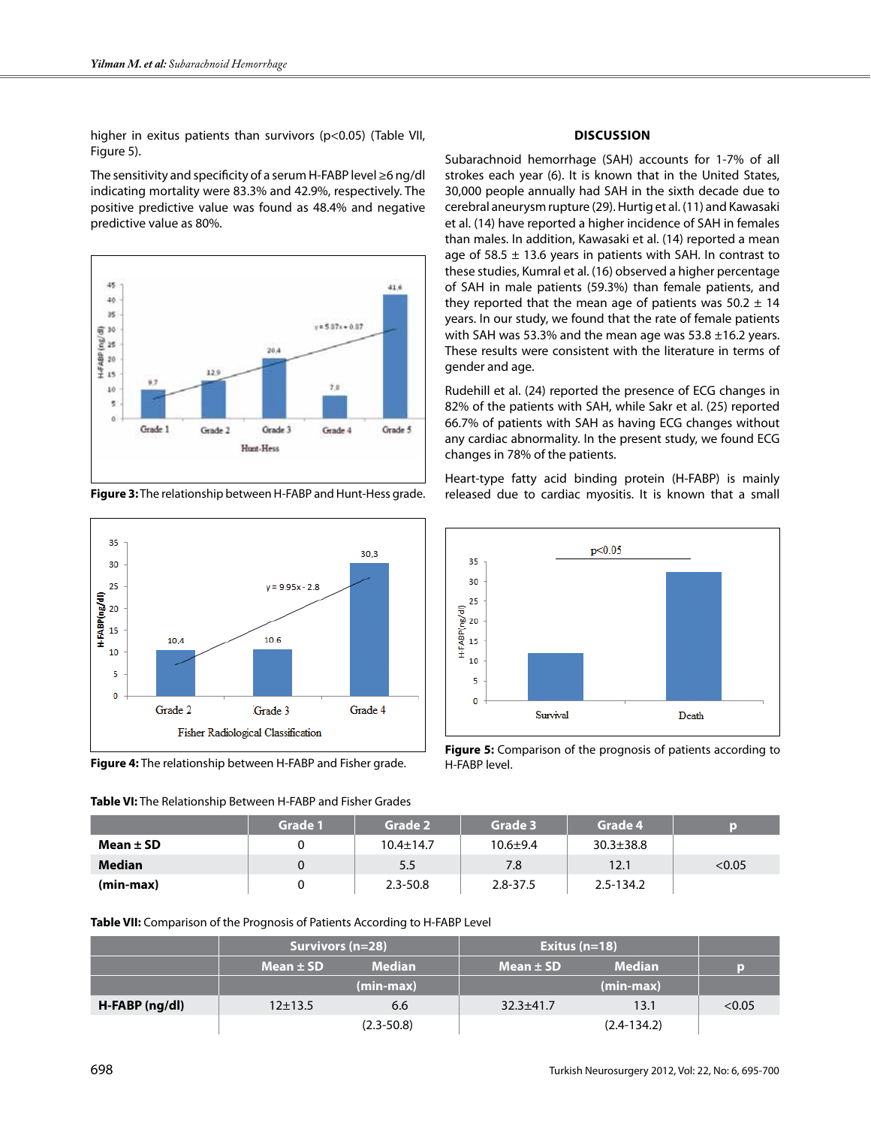higher in exitus patients than survivors (p<0.05) (Table VII, Figure 5).

The sensitivity and specificity of a serum H-FABP level ≥6 ng/dl indicating mortality were 83.3% and 42.9%, respectively. The positive predictive value was found as 48.4% and negative predictive value as 80%.



**Figure 3:** The relationship between H-FABP and Hunt-Hess grade.



**Figure 4:** The relationship between H-FABP and Fisher grade.

**Table VI:** The Relationship Between H-FABP and Fisher Grades

## **Discussion**

Subarachnoid hemorrhage (SAH) accounts for 1-7% of all strokes each year (6). It is known that in the United States, 30,000 people annually had SAH in the sixth decade due to cerebral aneurysm rupture (29). Hurtig et al. (11) and Kawasaki et al. (14) have reported a higher incidence of SAH in females than males. In addition, Kawasaki et al. (14) reported a mean age of 58.5  $\pm$  13.6 years in patients with SAH. In contrast to these studies, Kumral et al. (16) observed a higher percentage of SAH in male patients (59.3%) than female patients, and they reported that the mean age of patients was  $50.2 \pm 14$ years. In our study, we found that the rate of female patients with SAH was 53.3% and the mean age was  $53.8 \pm 16.2$  years. These results were consistent with the literature in terms of gender and age.

Rudehill et al. (24) reported the presence of ECG changes in 82% of the patients with SAH, while Sakr et al. (25) reported 66.7% of patients with SAH as having ECG changes without any cardiac abnormality. In the present study, we found ECG changes in 78% of the patients.

Heart-type fatty acid binding protein (H-FABP) is mainly released due to cardiac myositis. It is known that a small



**Figure 5:** Comparison of the prognosis of patients according to H-FABP level.

|               | <b>Grade 1</b> | Grade 2         | Grade 3      | Grade 4         |        |
|---------------|----------------|-----------------|--------------|-----------------|--------|
| Mean $\pm$ SD |                | $10.4 \pm 14.7$ | $10.6 + 9.4$ | $30.3 \pm 38.8$ |        |
| <b>Median</b> |                | 5.5             | 7.8          | 12.1            | < 0.05 |
| (min-max)     |                | $2.3 - 50.8$    | $2.8 - 37.5$ | $2.5 - 134.2$   |        |

**Table VII:** Comparison of the Prognosis of Patients According to H-FABP Level

|                  | Survivors (n=28) |                | Exitus $(n=18)$ |                 |        |
|------------------|------------------|----------------|-----------------|-----------------|--------|
|                  | Mean $\pm$ SD    | <b>Median</b>  | Mean $\pm$ SD   | <b>Median</b>   |        |
|                  |                  | $(min-max)$    |                 | $(min-max)$     |        |
| $H-FABP$ (ng/dl) | $12+13.5$        | 6.6            | $32.3 + 41.7$   | 13.1            | < 0.05 |
|                  |                  | $(2.3 - 50.8)$ |                 | $(2.4 - 134.2)$ |        |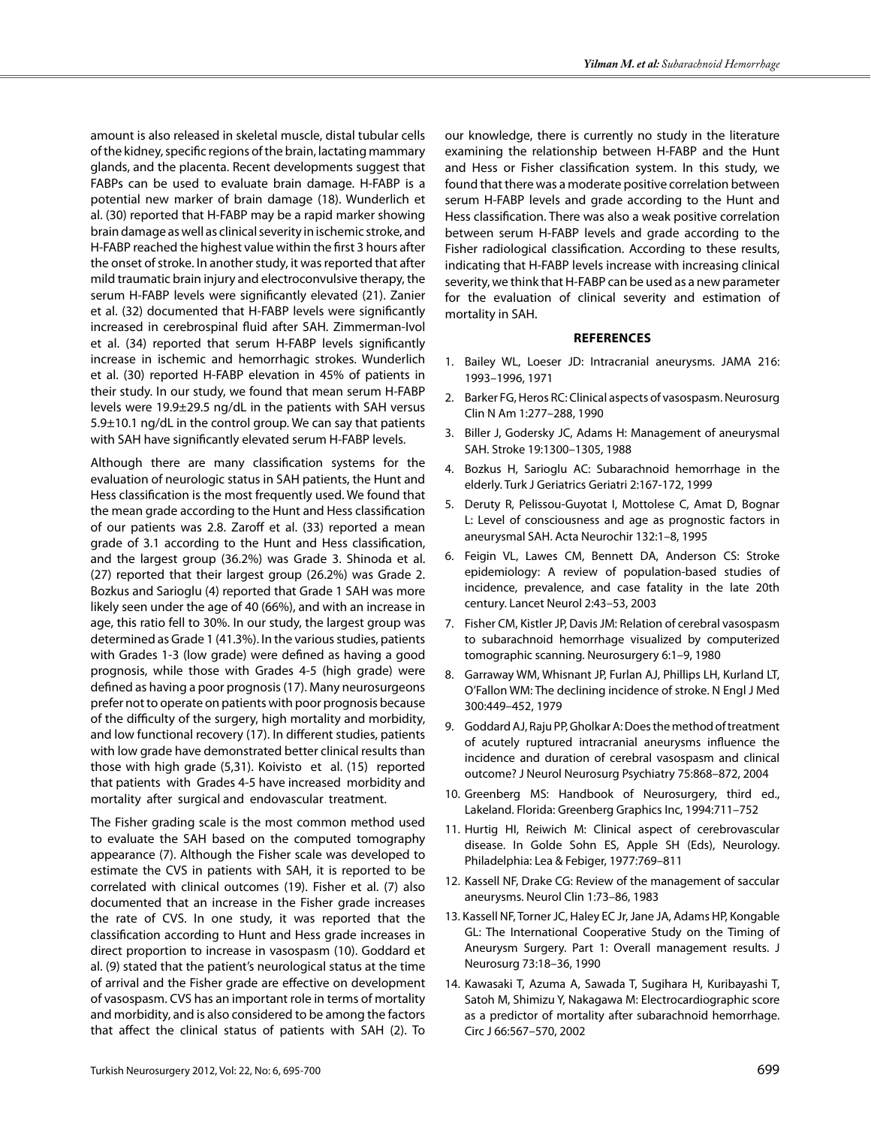amount is also released in skeletal muscle, distal tubular cells of the kidney, specific regions of the brain, lactating mammary glands, and the placenta. Recent developments suggest that FABPs can be used to evaluate brain damage. H-FABP is a potential new marker of brain damage (18). Wunderlich et al. (30) reported that H-FABP may be a rapid marker showing brain damage as well as clinical severity in ischemic stroke, and H-FABP reached the highest value within the first 3 hours after the onset of stroke. In another study, it was reported that after mild traumatic brain injury and electroconvulsive therapy, the serum H-FABP levels were significantly elevated (21). Zanier et al. (32) documented that H-FABP levels were significantly increased in cerebrospinal fluid after SAH. Zimmerman-Ivol et al. (34) reported that serum H-FABP levels significantly increase in ischemic and hemorrhagic strokes. Wunderlich et al. (30) reported H-FABP elevation in 45% of patients in their study. In our study, we found that mean serum H-FABP levels were 19.9±29.5 ng/dL in the patients with SAH versus 5.9±10.1 ng/dL in the control group. We can say that patients with SAH have significantly elevated serum H-FABP levels.

Although there are many classification systems for the evaluation of neurologic status in SAH patients, the Hunt and Hess classification is the most frequently used. We found that the mean grade according to the Hunt and Hess classification of our patients was 2.8. Zaroff et al. (33) reported a mean grade of 3.1 according to the Hunt and Hess classification, and the largest group (36.2%) was Grade 3. Shinoda et al. (27) reported that their largest group (26.2%) was Grade 2. Bozkus and Sarioglu (4) reported that Grade 1 SAH was more likely seen under the age of 40 (66%), and with an increase in age, this ratio fell to 30%. In our study, the largest group was determined as Grade 1 (41.3%). In the various studies, patients with Grades 1-3 (low grade) were defined as having a good prognosis, while those with Grades 4-5 (high grade) were defined as having a poor prognosis (17). Many neurosurgeons prefer not to operate on patients with poor prognosis because of the difficulty of the surgery, high mortality and morbidity, and low functional recovery (17). In different studies, patients with low grade have demonstrated better clinical results than those with high grade (5,31). Koivisto et al. (15) reported that patients with Grades 4-5 have increased morbidity and mortality after surgical and endovascular treatment.

The Fisher grading scale is the most common method used to evaluate the SAH based on the computed tomography appearance (7). Although the Fisher scale was developed to estimate the CVS in patients with SAH, it is reported to be correlated with clinical outcomes (19). Fisher et al. (7) also documented that an increase in the Fisher grade increases the rate of CVS. In one study, it was reported that the classification according to Hunt and Hess grade increases in direct proportion to increase in vasospasm (10). Goddard et al. (9) stated that the patient's neurological status at the time of arrival and the Fisher grade are effective on development of vasospasm. CVS has an important role in terms of mortality and morbidity, and is also considered to be among the factors that affect the clinical status of patients with SAH (2). To

our knowledge, there is currently no study in the literature examining the relationship between H-FABP and the Hunt and Hess or Fisher classification system. In this study, we found that there was a moderate positive correlation between serum H-FABP levels and grade according to the Hunt and Hess classification. There was also a weak positive correlation between serum H-FABP levels and grade according to the Fisher radiological classification. According to these results, indicating that H-FABP levels increase with increasing clinical severity, we think that H-FABP can be used as a new parameter for the evaluation of clinical severity and estimation of mortality in SAH.

#### **References**

- 1. Bailey WL, Loeser JD: Intracranial aneurysms. JAMA 216: 1993–1996, 1971
- 2. Barker FG, Heros RC: Clinical aspects of vasospasm. Neurosurg Clin N Am 1:277–288, 1990
- 3. Biller J, Godersky JC, Adams H: Management of aneurysmal SAH. Stroke 19:1300–1305, 1988
- 4. Bozkus H, Sarioglu AC: Subarachnoid hemorrhage in the elderly. Turk J Geriatrics Geriatri 2:167-172, 1999
- 5. Deruty R, Pelissou-Guyotat I, Mottolese C, Amat D, Bognar L: Level of consciousness and age as prognostic factors in aneurysmal SAH. Acta Neurochir 132:1–8, 1995
- 6. Feigin VL, Lawes CM, Bennett DA, Anderson CS: Stroke epidemiology: A review of population-based studies of incidence, prevalence, and case fatality in the late 20th century. Lancet Neurol 2:43–53, 2003
- 7. Fisher CM, Kistler JP, Davis JM: Relation of cerebral vasospasm to subarachnoid hemorrhage visualized by computerized tomographic scanning. Neurosurgery 6:1–9, 1980
- 8. Garraway WM, Whisnant JP, Furlan AJ, Phillips LH, Kurland LT, O'Fallon WM: The declining incidence of stroke. N Engl J Med 300:449–452, 1979
- 9. Goddard AJ, Raju PP, Gholkar A: Does the method of treatment of acutely ruptured intracranial aneurysms influence the incidence and duration of cerebral vasospasm and clinical outcome? J Neurol Neurosurg Psychiatry 75:868–872, 2004
- 10. Greenberg MS: Handbook of Neurosurgery, third ed., Lakeland. Florida: Greenberg Graphics Inc, 1994:711–752
- 11. Hurtig HI, Reiwich M: Clinical aspect of cerebrovascular disease. In Golde Sohn ES, Apple SH (Eds), Neurology. Philadelphia: Lea & Febiger, 1977:769–811
- 12. Kassell NF, Drake CG: Review of the management of saccular aneurysms. Neurol Clin 1:73–86, 1983
- 13. Kassell NF, Torner JC, Haley EC Jr, Jane JA, Adams HP, Kongable GL: The International Cooperative Study on the Timing of Aneurysm Surgery. Part 1: Overall management results. J Neurosurg 73:18–36, 1990
- 14. Kawasaki T, Azuma A, Sawada T, Sugihara H, Kuribayashi T, Satoh M, Shimizu Y, Nakagawa M: Electrocardiographic score as a predictor of mortality after subarachnoid hemorrhage. Circ J 66:567–570, 2002